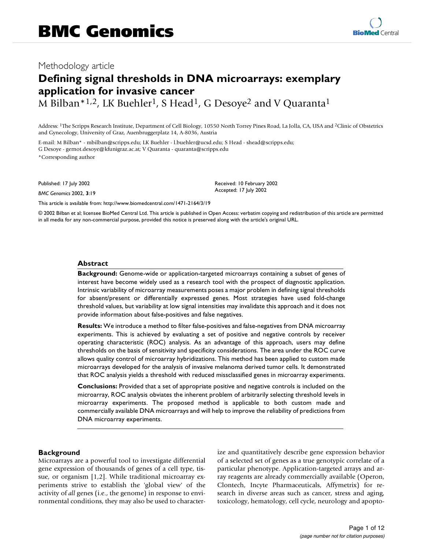## Methodology article

# **Defining signal thresholds in DNA microarrays: exemplary application for invasive cancer** M Bilban\*<sup>1,2</sup>, LK Buehler<sup>1</sup>, S Head<sup>1</sup>, G Desoye<sup>2</sup> and V Quaranta<sup>1</sup>

Address: 1The Scripps Research Institute, Department of Cell Biology, 10550 North Torrey Pines Road, La Jolla, CA, USA and 2Clinic of Obstetrics and Gynecology, University of Graz, Auenbruggerplatz 14, A-8036, Austria

E-mail: M Bilban\* - mbilban@scripps.edu; LK Buehler - l.buehler@ucsd.edu; S Head - shead@scripps.edu; G Desoye - gernot.desoye@kfunigraz.ac.at; V Quaranta - quaranta@scripps.edu \*Corresponding author

Published: 17 July 2002

*BMC Genomics* 2002, **3**:19

[This article is available from: http://www.biomedcentral.com/1471-2164/3/19](http://www.biomedcentral.com/1471-2164/3/19)

Received: 10 February 2002 Accepted: 17 July 2002

© 2002 Bilban et al; licensee BioMed Central Ltd. This article is published in Open Access: verbatim copying and redistribution of this article are permitted in all media for any non-commercial purpose, provided this notice is preserved along with the article's original URL.

#### **Abstract**

**Background:** Genome-wide or application-targeted microarrays containing a subset of genes of interest have become widely used as a research tool with the prospect of diagnostic application. Intrinsic variability of microarray measurements poses a major problem in defining signal thresholds for absent/present or differentially expressed genes. Most strategies have used fold-change threshold values, but variability at low signal intensities may invalidate this approach and it does not provide information about false-positives and false negatives.

**Results:** We introduce a method to filter false-positives and false-negatives from DNA microarray experiments. This is achieved by evaluating a set of positive and negative controls by receiver operating characteristic (ROC) analysis. As an advantage of this approach, users may define thresholds on the basis of sensitivity and specificity considerations. The area under the ROC curve allows quality control of microarray hybridizations. This method has been applied to custom made microarrays developed for the analysis of invasive melanoma derived tumor cells. It demonstrated that ROC analysis yields a threshold with reduced missclassified genes in microarray experiments.

**Conclusions:** Provided that a set of appropriate positive and negative controls is included on the microarray, ROC analysis obviates the inherent problem of arbitrarily selecting threshold levels in microarray experiments. The proposed method is applicable to both custom made and commercially available DNA microarrays and will help to improve the reliability of predictions from DNA microarray experiments.

#### **Background**

Microarrays are a powerful tool to investigate differential gene expression of thousands of genes of a cell type, tissue, or organism [1,2]. While traditional microarray experiments strive to establish the 'global view' of the activity of *all* genes (i.e., the genome) in response to environmental conditions, they may also be used to characterize and quantitatively describe gene expression behavior of a selected set of genes as a true genotypic correlate of a particular phenotype. Application-targeted arrays and array reagents are already commercially available (Operon, Clontech, Incyte Pharmaceuticals, Affymetrix) for research in diverse areas such as cancer, stress and aging, toxicology, hematology, cell cycle, neurology and apopto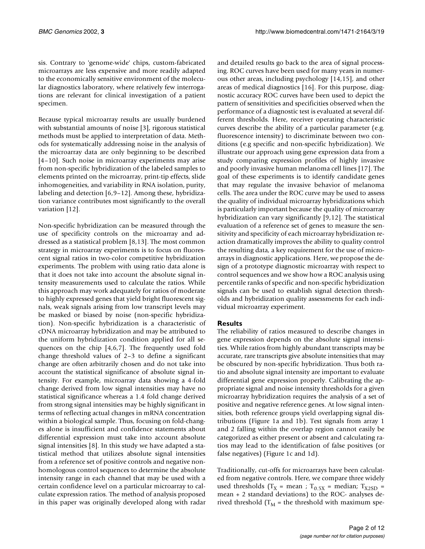sis. Contrary to 'genome-wide' chips, custom-fabricated microarrays are less expensive and more readily adapted to the economically sensitive environment of the molecular diagnostics laboratory, where relatively few interrogations are relevant for clinical investigation of a patient specimen.

Because typical microarray results are usually burdened with substantial amounts of noise [3], rigorous statistical methods must be applied to interpretation of data. Methods for systematically addressing noise in the analysis of the microarray data are only beginning to be described [4–10]. Such noise in microarray experiments may arise from non-specific hybridization of the labeled samples to elements printed on the microarray, print-tip effects, slide inhomogeneities, and variability in RNA isolation, purity, labeling and detection [6,9–12]. Among these, hybridization variance contributes most significantly to the overall variation [12].

Non-specific hybridization can be measured through the use of specificity controls on the microarray and addressed as a statistical problem [8,13]. The most common strategy in microarray experiments is to focus on fluorescent signal ratios in two-color competitive hybridization experiments. The problem with using ratio data alone is that it does not take into account the absolute signal intensity measurements used to calculate the ratios. While this approach may work adequately for ratios of moderate to highly expressed genes that yield bright fluorescent signals, weak signals arising from low transcript levels may be masked or biased by noise (non-specific hybridization). Non-specific hybridization is a characteristic of cDNA microarray hybridization and may be attributed to the uniform hybridization condition applied for all sequences on the chip [4,6,7]. The frequently used fold change threshold values of 2–3 to define a significant change are often arbitrarily chosen and do not take into account the statistical significance of absolute signal intensity. For example, microarray data showing a 4-fold change derived from low signal intensities may have no statistical significance whereas a 1.4 fold change derived from strong signal intensities may be highly significant in terms of reflecting actual changes in mRNA concentration within a biological sample. Thus, focusing on fold-changes alone is insufficient and confidence statements about differential expression must take into account absolute signal intensities [8]. In this study we have adapted a statistical method that utilizes absolute signal intensities from a reference set of positive controls and negative nonhomologous control sequences to determine the absolute intensity range in each channel that may be used with a certain confidence level on a particular microarray to calculate expression ratios. The method of analysis proposed in this paper was originally developed along with radar

and detailed results go back to the area of signal processing. ROC curves have been used for many years in numerous other areas, including psychology [14,15], and other areas of medical diagnostics [16]. For this purpose, diagnostic accuracy ROC curves have been used to depict the pattern of sensitivities and specificities observed when the performance of a diagnostic test is evaluated at several different thresholds. Here, receiver operating characteristic curves describe the ability of a particular parameter (e.g. fluorescence intensity) to discriminate between two conditions (e.g specific and non-specific hybridization). We illustrate our approach using gene expression data from a study comparing expression profiles of highly invasive and poorly invasive human melanoma cell lines [17]. The goal of these experiments is to identify candidate genes that may regulate the invasive behavior of melanoma cells. The area under the ROC curve may be used to assess the quality of individual microarray hybridizations which is particularly important because the quality of microarray hybridization can vary significantly [9,12]. The statistical evaluation of a reference set of genes to measure the sensitivity and specificity of each microarray hybridization reaction dramatically improves the ability to quality control the resulting data, a key requirement for the use of microarrays in diagnostic applications. Here, we propose the design of a prototype diagnostic microarray with respect to control sequences and we show how a ROC analysis using percentile ranks of specific and non-specific hybridization signals can be used to establish signal detection thresholds and hybridization quality assessments for each individual microarray experiment.

## **Results**

The reliability of ratios measured to describe changes in gene expression depends on the absolute signal intensities. While ratios from highly abundant transcripts may be accurate, rare transcripts give absolute intensities that may be obscured by non-specific hybridization. Thus both ratio and absolute signal intensity are important to evaluate differential gene expression properly. Calibrating the appropriate signal and noise intensity thresholds for a given microarray hybridization requires the analysis of a set of positive and negative reference genes. At low signal intensities, both reference groups yield overlapping signal distributions (Figure [1](#page-2-0)a and [1](#page-2-0)b). Test signals from array 1 and 2 falling within the overlap region cannot easily be categorized as either present or absent and calculating ratios may lead to the identification of false positives (or false negatives) (Figure [1](#page-2-0)c and [1](#page-2-0)d).

Traditionally, cut-offs for microarrays have been calculated from negative controls. Here, we compare three widely used thresholds (T<sub>X</sub> = mean ; T<sub>0.5X</sub> = median; T<sub>X2SD</sub> = mean + 2 standard deviations) to the ROC- analyses derived threshold ( $T_M$  = the threshold with maximum spe-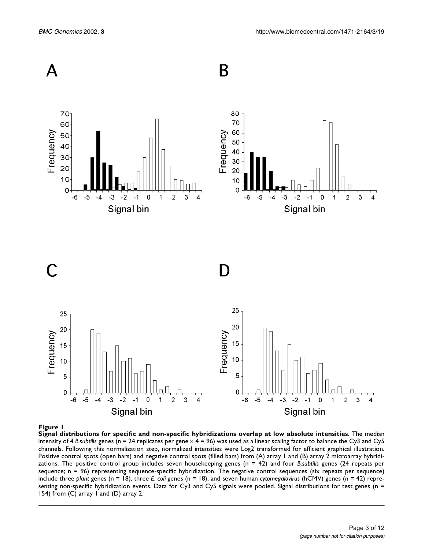

#### <span id="page-2-0"></span>**Figure 1**

**Signal distributions for specific and non-specific hybridizations overlap at low absolute intensities**. The median intensity of 4 B.subtilis genes ( $n = 24$  replicates per gene  $\times$  4 = 96) was used as a linear scaling factor to balance the Cy3 and Cy5 channels. Following this normalization step, normalized intensities were Log2 transformed for efficient graphical illustration. Positive control spots (open bars) and negative control spots (filled bars) from (A) array 1 and (B) array 2 microarray hybridizations. The positive control group includes seven housekeeping genes (n = 42) and four *B.subtilis* genes (24 repeats per sequence; n = 96) representing sequence-specific hybridization. The negative control sequences (six repeats per sequence) include three *plant* genes (n = 18), three *E. coli* genes (n = 18), and seven human *cytomegalovirus* (hCMV) genes (n = 42) representing non-specific hybridization events. Data for Cy3 and Cy5 signals were pooled. Signal distributions for test genes (n = 154) from (C) array 1 and (D) array 2.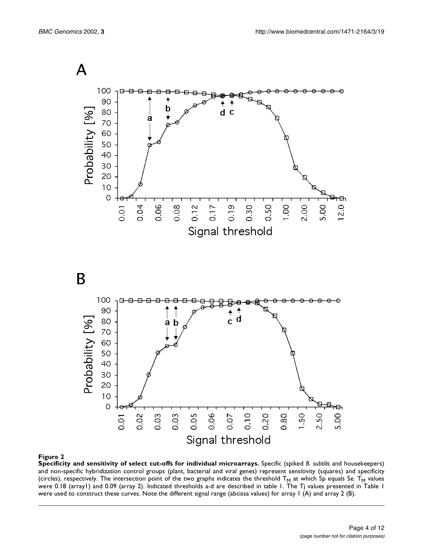$\mathsf{A}$ 100  $0$   $-0$   $-0$   $-0$ Ð Ð 90 b  $\overline{d}$  c Probability [%] 80 a 70 60 50 40 30 20



B



#### **Figure 2**

**Specificity and sensitivity of select cut-offs for individual microarrays.** Specific (spiked *B. subtilis* and housekeepers) and non-specific hybridization control groups (plant, bacterial and viral genes) represent sensitivity (squares) and specificity (circles), respectively. The intersection point of the two graphs indicates the threshold  $T_M$  at which Sp equals Se.  $T_M$  values were 0.18 (array1) and 0.09 (array 2). Indicated thresholds a-d are described in table 1. The Tj values presented in Table 1 were used to construct these curves. Note the different signal range (abcissa values) for array 1 (A) and array 2 (B).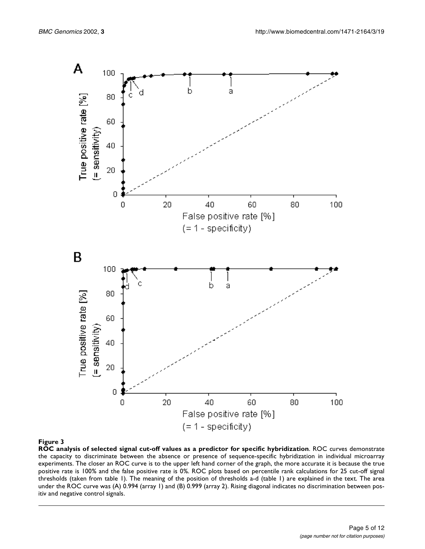

#### **Figure 3**

**ROC analysis of selected signal cut-off values as a predictor for specific hybridization**. ROC curves demonstrate the capacity to discriminate between the absence or presence of sequence-specific hybridization in individual microarray experiments. The closer an ROC curve is to the upper left hand corner of the graph, the more accurate it is because the true positive rate is 100% and the false positive rate is 0%. ROC plots based on percentile rank calculations for 25 cut-off signal thresholds (taken from table 1). The meaning of the position of thresholds a-d (table 1) are explained in the text. The area under the ROC curve was (A) 0.994 (array 1) and (B) 0.999 (array 2). Rising diagonal indicates no discrimination between positiv and negative control signals.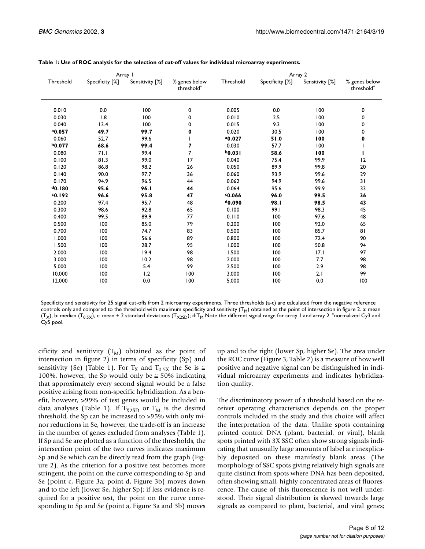| Array I     |                 |                 |                             | Array 2   |                 |                 |                             |  |
|-------------|-----------------|-----------------|-----------------------------|-----------|-----------------|-----------------|-----------------------------|--|
| Threshold   | Specificity [%] | Sensitivity [%] | % genes below<br>threshold* | Threshold | Specificity [%] | Sensitivity [%] | % genes below<br>threshold* |  |
| 0.010       | 0.0             | 100             | 0                           | 0.005     | 0.0             | 100             | 0                           |  |
| 0.030       | 1.8             | 100             | 0                           | 0.010     | 2.5             | 100             | 0                           |  |
| 0.040       | 13.4            | 100             | 0                           | 0.015     | 9.3             | 100             | 0                           |  |
| $a_{0.057}$ | 49.7            | 99.7            | 0                           | 0.020     | 30.5            | 100             | 0                           |  |
| 0.060       | 52.7            | 99.6            |                             | a0.027    | 51.0            | 100             | 0                           |  |
| $b$ 0.077   | 68.6            | 99.4            | 7                           | 0.030     | 57.7            | 100             |                             |  |
| 0.080       | 71.1            | 99.4            | 7                           | b0.031    | 58.6            | 100             |                             |  |
| 0.100       | 81.3            | 99.0            | 17                          | 0.040     | 75.4            | 99.9            | 12                          |  |
| 0.120       | 86.8            | 98.2            | 26                          | 0.050     | 89.9            | 99.8            | 20                          |  |
| 0.140       | 90.0            | 97.7            | 36                          | 0.060     | 93.9            | 99.6            | 29                          |  |
| 0.170       | 94.9            | 96.5            | 44                          | 0.062     | 94.9            | 99.6            | 31                          |  |
| $d$ 0.180   | 95.6            | 96.I            | 44                          | 0.064     | 95.6            | 99.9            | 33                          |  |
| $-0.192$    | 96.6            | 95.8            | 47                          | 0.066     | 96.0            | 99.5            | 36                          |  |
| 0.200       | 97.4            | 95.7            | 48                          | $d$ 0.090 | 98.I            | 98.5            | 43                          |  |
| 0.300       | 98.6            | 92.8            | 65                          | 0.100     | 99.1            | 98.3            | 45                          |  |
| 0.400       | 99.5            | 89.9            | 77                          | 0.110     | 100             | 97.6            | 48                          |  |
| 0.500       | 100             | 85.0            | 79                          | 0.200     | 100             | 92.0            | 65                          |  |
| 0.700       | 100             | 74.7            | 83                          | 0.500     | 100             | 85.7            | 81                          |  |
| 1.000       | 100             | 56.6            | 89                          | 0.800     | 100             | 72.4            | 90                          |  |
| 1.500       | 100             | 28.7            | 95                          | 1.000     | 100             | 50.8            | 94                          |  |
| 2.000       | 100             | 19.4            | 98                          | 1.500     | 100             | 17.1            | 97                          |  |
| 3.000       | 100             | 10.2            | 98                          | 2.000     | 100             | 7.7             | 98                          |  |
| 5.000       | 100             | 5.4             | 99                          | 2.500     | 100             | 2.9             | 98                          |  |
| 10.000      | 100             | 1.2             | 100                         | 3.000     | 100             | 2.1             | 99                          |  |
| 12.000      | 100             | 0.0             | 100                         | 5.000     | 100             | 0.0             | 100                         |  |

**Table 1: Use of ROC analysis for the selection of cut-off values for individual microarray experiments.**

Specificity and sensitivity for 25 signal cut-offs from 2 microarray experiments. Three thresholds (a-c) are calculated from the negative reference controls only and compared to the threshold with maximum specificity and senitivity  $(T_M)$  obtained as the point of intersection in figure 2. a: mean (T<sub>X</sub>), b: median (T<sub>0.5X</sub>), c: mean + 2 standard deviations (T<sub>X2SD</sub>); d:T<sub>M</sub> Note the different signal range for array 1 and array 2.  $^*$ normalized Cy3 and Cy5 pool.

cificity and senitivity  $(T_M)$  obtained as the point of intersection in figure 2) in terms of specificity (Sp) and sensitivity (Se) (Table 1). For T<sub>X</sub> and T<sub>0.5X</sub> the Se is  $\approx$ 100%, however, the Sp would only be  $\approx$  50% indicating that approximately every second signal would be a false positive arising from non-specific hybridization. As a benefit, however, >99% of test genes would be included in data analyses (Table 1). If  $T_{X2SD}$  or  $T_M$  is the desired threshold, the Sp can be increased to >95% with only minor reductions in Se, however, the trade-off is an increase in the number of genes excluded from analyses (Table 1). If Sp and Se are plotted as a function of the thresholds, the intersection point of the two curves indicates maximum Sp and Se which can be directly read from the graph (Figure 2). As the criterion for a positive test becomes more stringent, the point on the curve corresponding to Sp and Se (point c, Figure 3a; point d, Figure 3b) moves down and to the left (lower Se, higher Sp); if less evidence is required for a positive test, the point on the curve corresponding to Sp and Se (point a, Figure 3a and 3b) moves up and to the right (lower Sp, higher Se). The area under the ROC curve (Figure 3, Table 2) is a measure of how well positive and negative signal can be distinguished in individual microarray experiments and indicates hybridization quality.

The discriminatory power of a threshold based on the receiver operating characteristics depends on the proper controls included in the study and this choice will affect the interpretation of the data. Unlike spots containing printed control DNA (plant, bacterial, or viral), blank spots printed with 3X SSC often show strong signals indicating that unusually large amounts of label are inexplicably deposited on these manifestly blank areas. (The morphology of SSC spots giving relatively high signals are quite distinct from spots where DNA has been deposited, often showing small, highly concentrated areas of fluorescence. The cause of this fluorescence is not well understood. Their signal distribution is skewed towards large signals as compared to plant, bacterial, and viral genes;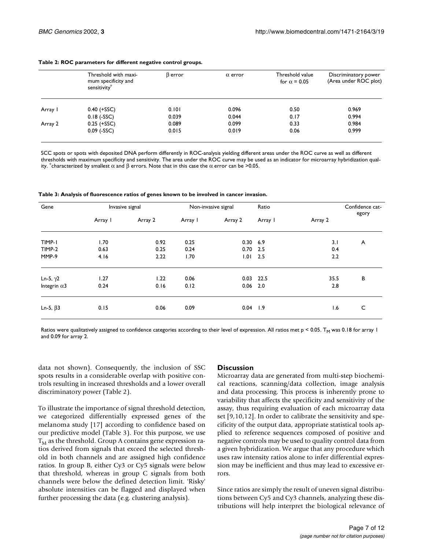|         | Threshold with maxi-<br>mum specificity and<br>sensitivity <sup>*</sup> | $\beta$ error | $\alpha$ error | Threshold value<br>for $\alpha$ = 0.05 | Discriminatory power<br>(Area under ROC plot) |
|---------|-------------------------------------------------------------------------|---------------|----------------|----------------------------------------|-----------------------------------------------|
| Array I | $0.40$ (+SSC)                                                           | 0.101         | 0.096          | 0.50                                   | 0.969                                         |
|         | $0.18$ (-SSC)                                                           | 0.039         | 0.044          | 0.17                                   | 0.994                                         |
| Array 2 | $0.25$ (+SSC)                                                           | 0.089         | 0.099          | 0.33                                   | 0.984                                         |
|         | $0.09$ (-SSC)                                                           | 0.015         | 0.019          | 0.06                                   | 0.999                                         |

#### **Table 2: ROC parameters for different negative control groups.**

SCC spots or spots with deposited DNA perform differently in ROC-analysis yielding different areas under the ROC curve as well as different thresholds with maximum specificity and sensitivity. The area under the ROC curve may be used as an indicator for microarray hybridization quality. \*characterized by smallest  $\alpha$  and  $\beta$  errors. Note that in this case the  $\alpha$  error can be >0.05.

**Table 3: Analysis of fluorescence ratios of genes known to be involved in cancer invasion.**

| Gene                | Invasive signal |         | Non-invasive signal |            | Ratio       |         | Confidence cat-<br>egory |
|---------------------|-----------------|---------|---------------------|------------|-------------|---------|--------------------------|
|                     | Array I         | Array 2 | Array I             | Array 2    | Array I     | Array 2 |                          |
| TIMP-1              | l.70            | 0.92    | 0.25                | $0.30$ 6.9 |             | 3.1     | A                        |
| TIMP-2              | 0.63            | 0.25    | 0.24                | $0.70$ 2.5 |             | 0.4     |                          |
| MMP-9               | 4.16            | 2.22    | 1.70                | $1.01$ 2.5 |             | 2.2     |                          |
| Ln-5, $\gamma$ 2    | 1.27            | 1.22    | 0.06                |            | $0.03$ 22.5 | 35.5    | В                        |
| Integrin $\alpha$ 3 | 0.24            | 0.16    | 0.12                | $0.06$ 2.0 |             | 2.8     |                          |
| Ln-5, $\beta$ 3     | 0.15            | 0.06    | 0.09                | $0.04$ 1.9 |             | 1.6     | C                        |

Ratios were qualitatively assigned to confidence categories according to their level of expression. All ratios met  $p < 0.05$ . T<sub>M</sub> was 0.18 for array 1 and 0.09 for array 2.

data not shown). Consequently, the inclusion of SSC spots results in a considerable overlap with positive controls resulting in increased thresholds and a lower overall discriminatory power (Table 2).

To illustrate the importance of signal threshold detection, we categorized differentially expressed genes of the melanoma study [17] according to confidence based on our predictive model (Table 3). For this purpose, we use  $T_M$  as the threshold. Group A contains gene expression ratios derived from signals that exceed the selected threshold in both channels and are assigned high confidence ratios. In group B, either Cy3 or Cy5 signals were below that threshold, whereas in group C signals from both channels were below the defined detection limit. 'Risky' absolute intensities can be flagged and displayed when further processing the data (e.g. clustering analysis).

#### **Discussion**

Microarray data are generated from multi-step biochemical reactions, scanning/data collection, image analysis and data processing. This process is inherently prone to variability that affects the specificity and sensitivity of the assay, thus requiring evaluation of each microarray data set [9,10,12]. In order to calibrate the sensitivity and specificity of the output data, appropriate statistical tools applied to reference sequences composed of positive and negative controls may be used to quality control data from a given hybridization. We argue that any procedure which uses raw intensity ratios alone to infer differential expression may be inefficient and thus may lead to excessive errors.

[Since ratios are simply the result of uneven signal distribu](http://www.affymetrix.com/support/technical/technotes/25mer_technote.pdf)tions between Cy5 and Cy3 channels, analyzing these dis[tributions will help interpret the biological relevance of](http://www.affymetrix.com/support/technical/technotes/25mer_technote.pdf)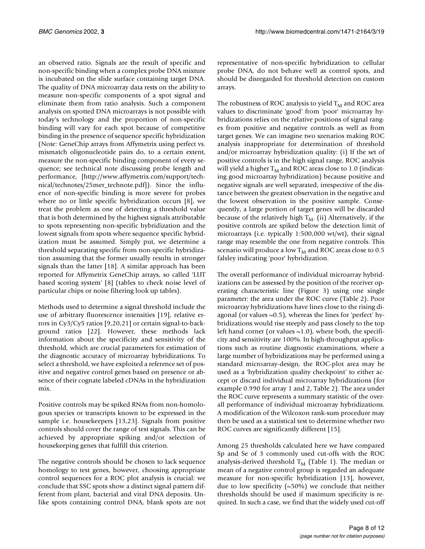[an observed ratio. Signals are the result of specific and](http://www.affymetrix.com/support/technical/technotes/25mer_technote.pdf) non-specific binding when a complex probe DNA mixture is incubated on the slide surface containing target DNA. The quality of DNA microarray data rests on the ability to measure non-specific components of a spot signal and eliminate them from ratio analysis. Such a component analysis on spotted DNA microarrays is not possible with today's technology and the proportion of non-specific binding will vary for each spot because of competitive binding in the presence of sequence specific hybridization (Note: GeneChip arrays from Affymetrix using perfect vs. mismatch oligonucleotide pairs do, to a certain extent, measure the non-specific binding component of every sequence; see technical note discussing probe length and performance, [http://www.affymetrix.com/support/technical/technotes/25mer\_technote.pdf]). Since the influence of non-specific binding is more severe for probes where no or little specific hybridization occurs [8], we treat the problem as one of detecting a threshold value that is both determined by the highest signals attributable to spots representing non-specific hybridization and the lowest signals from spots where sequence specific hybridization must be assumed. Simply put, we determine a threshold separating specific from non-specific hybridization assuming that the former usually results in stronger signals than the latter [18]. A similar approach has been reported for Affymetrix GeneChip arrays, so called 'LUT based scoring system' [8] (tables to check noise level of particular chips or noise filtering look up tables).

Methods used to determine a signal threshold include the use of arbitrary fluorescence intensities [19], relative errors in Cy3/Cy5 ratios [9,20,21] or certain signal-to-background ratios [22]. However, these methods lack information about the specificity and sensitivity of the threshold, which are crucial parameters for estimation of the diagnostic accuracy of microarray hybridizations. To select a threshold, we have exploited a reference set of positive and negative control genes based on presence or absence of their cognate labeled cDNAs in the hybridization mix.

Positive controls may be spiked RNAs from non-homologous species or transcripts known to be expressed in the sample i.e. housekeepers [13,23]. Signals from positive controls should cover the range of test signals. This can be achieved by appropriate spiking and/or selection of housekeeping genes that fulfill this criterion.

The negative controls should be chosen to lack sequence homology to test genes, however, choosing appropriate control sequences for a ROC plot analysis is crucial: we conclude that SSC spots show a distinct signal pattern different from plant, bacterial and viral DNA deposits. Unlike spots containing control DNA, blank spots are not

representative of non-specific hybridization to cellular probe DNA, do not behave well as control spots, and should be disregarded for threshold detection on custom arrays.

The robustness of ROC analysis to yield  $T<sub>M</sub>$  and ROC area values to discriminate 'good' from 'poor' microarray hybridizations relies on the relative positions of signal ranges from positive and negative controls as well as from target genes. We can imagine two szenarios making ROC analysis inappropriate for determination of threshold and/or microarray hybridization quality: (i) If the set of positive controls is in the high signal range, ROC analysis will yield a higher  $T_M$  and ROC areas close to 1.0 (indicating good microarray hybridization) because positive and negative signals are well separated, irrespective of the distance between the greatest observation in the negative and the lowest observation in the positive sample. Consequently, a large portion of target genes will be discarded because of the relatively high  $T_M$ . (ii) Alternatively, if the positive controls are spiked below the detection limit of microarrays (i.e. typically 1:500,000 wt/wt), their signal range may resemble the one from negative controls. This scenario will produce a low  $T_M$  and ROC areas close to 0.5 falsley indicating 'poor' hybridization.

The overall performance of individual microarray hybridizations can be assessed by the position of the receiver operating characteristic line (Figure 3) using one single parameter: the area under the ROC curve (Table 2). Poor microarray hybridizations have lines close to the rising diagonal (or values  $\sim$ 0.5), whereas the lines for 'perfect' hybridizations would rise steeply and pass closely to the top left hand corner (or values  $\sim$ 1.0), where both, the specificity and sensitivity are 100%. In high-throughput applications such as routine diagnostic examinations, where a large number of hybridizations may be performed using a standard microarray-design, the ROC-plot area may be used as a 'hybridization quality checkpoint' to either accept or discard individual microarray hybridizations (for example 0.990 for array 1 and 2, Table 2). The area under the ROC curve represents a summary statistic of the overall performance of individual microarray hybridizations. A modification of the Wilcoxon rank-sum procedure may then be used as a statistical test to determine whether two ROC curves are significantly different [15].

Among 25 thresholds calculated here we have compared Sp and Se of 3 commonly used cut-offs with the ROC analysis-derived threshold  $T_M$  (Table 1). The median or mean of a negative control group is regarded an adequate measure for non-specific hybridization [13], however, due to low specificity (~50%) we conclude that neither thresholds should be used if maximum specificity is required. In such a case, we find that the widely used cut-off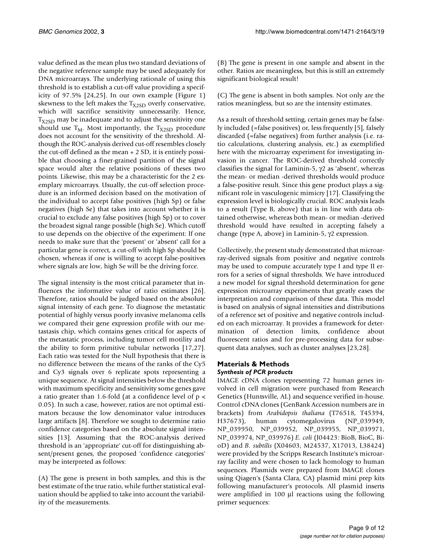value defined as the mean plus two standard deviations of the negative reference sample may be used adequately for DNA microarrays. The underlying rationale of using this threshold is to establish a cut-off value providing a specificity of 97.5% [24,25]. In our own example (Figure [1](#page-2-0)) skewness to the left makes the  $T_{X2SD}$  overly conservative, which will sacrifice sensitivity unnecessarily. Hence,  $T_{X2SD}$  may be inadequate and to adjust the sensitivity one should use  $T_M$ . Most importantly, the  $T_{X2SD}$  procedure does not account for the sensitivity of the threshold. Although the ROC-analysis derived cut-off resembles closely the cut-off defined as the mean + 2 SD, it is entirely possible that choosing a finer-grained partition of the signal space would alter the relative positions of theses two points. Likewise, this may be a characteristic for the 2 exemplary microarrays. Usually, the cut-off selection procedure is an informed decision based on the motivation of the individual to accept false positives (high Sp) or false negatives (high Se) that takes into account whether it is crucial to exclude any false positives (high Sp) or to cover the broadest signal range possible (high Se). Which cutoff to use depends on the objective of the experiment: If one needs to make sure that the 'present' or 'absent' call for a particular gene is correct, a cut-off with high Sp should be chosen, whereas if one is willing to accept false-positives where signals are low, high Se will be the driving force.

The signal intensity is the most critical parameter that influences the informative value of ratio estimates [26]. Therefore, ratios should be judged based on the absolute signal intensity of each gene. To diagnose the metastatic potential of highly versus poorly invasive melanoma cells we compared their gene expression profile with our metastasis chip, which contains genes critical for aspects of the metastatic process, including tumor cell motility and the ability to form primitive tubular networks [17,27]. Each ratio was tested for the Null hypothesis that there is no difference between the means of the ranks of the Cy5 and Cy3 signals over 6 replicate spots representing a unique sequence. At signal intensities below the threshold with maximum specificity and sensitivity some genes gave a ratio greater than 1.6-fold (at a confidence level of p < 0.05). In such a case, however, ratios are not optimal estimators because the low denominator value introduces large artifacts [8]. Therefore we sought to determine ratio confidence categories based on the absolute signal intensities [13]. Assuming that the ROC-analysis derived threshold is an 'appropriate' cut-off for distinguishing absent/present genes, the proposed 'confidence categories' may be interpreted as follows:

(A) The gene is present in both samples, and this is the best estimate of the true ratio, while further statistical evaluation should be applied to take into account the variability of the measurements.

(B) The gene is present in one sample and absent in the other. Ratios are meaningless, but this is still an extremely significant biological result!

(C) The gene is absent in both samples. Not only are the ratios meaningless, but so are the intensity estimates.

As a result of threshold setting, certain genes may be falsely included (=false positives) or, less frequently [5], falsely discarded (=false negatives) from further analysis (i.e. ratio calculations, clustering analysis, etc.) as exemplified here with the microarray experiment for investigating invasion in cancer. The ROC-derived threshold correctly classifies the signal for Laminin-5,  $\gamma$ 2 as 'absent', whereas the mean- or median -derived thresholds would produce a false-positive result. Since this gene product plays a significant role in vasculogenic mimicry [17]. Classifying the expression level is biologically crucial. ROC analysis leads to a result (Type B, above) that is in line with data obtained otherwise, whereas both mean- or median -derived threshold would have resulted in accepting falsely a change (type A, above) in Laminin-5,  $γ$ 2 expression.

Collectively, the present study demonstrated that microarray-derived signals from positive and negative controls may be used to compute accurately type I and type II errors for a series of signal thresholds. We have introduced a new model for signal threshold determination for gene expression microarray experiments that greatly eases the interpretation and comparison of these data. This model is based on analysis of signal intensities and distributions of a reference set of positive and negative controls included on each microarray. It provides a framework for determination of detection limits, confidence about fluorescent ratios and for pre-processing data for subsequent data analyses, such as cluster analyses [23,28].

## **Materials & Methods** *Synthesis of PCR products*

IMAGE cDNA clones representing 72 human genes involved in cell migration were purchased from Research Genetics (Huntsville, AL) and sequence verified in-house. Control cDNA clones (GenBank Accession numbers are in brackets) from *Arabidopsis thaliana* (T76518, T45394, H37673), human cytomegalovirus (NP\_039949, NP\_039950, NP\_039952, NP\_039955, NP\_039971, NP\_039974, NP\_039976) *E. coli* (J04423: BioB, BioC, BioD) and *B. subtilis* (X04603, M24537, X17013, L38424) were provided by the Scripps Research Institute's microarray facility and were chosen to lack homology to human sequences. Plasmids were prepared from IMAGE clones using Qiagen's (Santa Clara, CA) plasmid mini prep kits following manufacturer's protocols. All plasmid inserts were amplified in 100 µl reactions using the following primer sequences: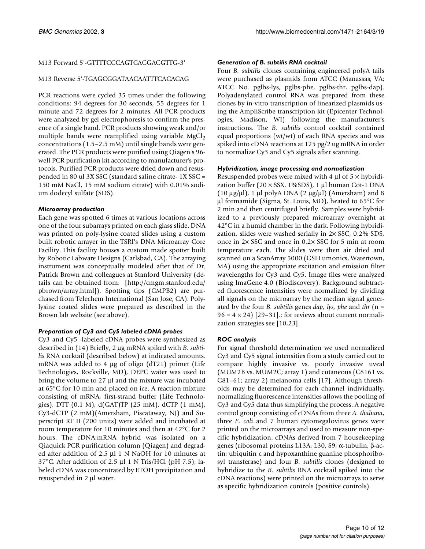## M13 Forward 5'-GTTTTCCCAGTCACGACGTTG-3'

## M13 Reverse 5'-TGAGCGGATAACAATTTCACACAG

PCR reactions were cycled 35 times under the following conditions: 94 degrees for 30 seconds, 55 degrees for 1 minute and 72 degrees for 2 minutes. All PCR products were analyzed by gel electrophoresis to confirm the presence of a single band. PCR products showing weak and/or multiple bands were reamplified using variable  $MgCl<sub>2</sub>$ concentrations (1.5–2.5 mM) until single bands were generated. The PCR products were purified using Qiagen's 96 well PCR purification kit according to manufacturer's protocols. Purified PCR products were dried down and resuspended in 80 ul 3X SSC (standard saline citrate- 1X SSC = 150 mM NaCl, 15 mM sodium citrate) with 0.01% sodium dodecyl sulfate (SDS).

## *Microarray production*

[Each gene was spotted 6 times at various locations across](http://cmgm.stanford.edu/pbrown/array.html) one of the four subarrays printed on each glass slide. DNA was printed on poly-lysine coated slides using a custom built robotic arrayer in the TSRI's DNA Microarray Core Facility. This facility houses a custom made spotter built by Robotic Labware Designs (Carlsbad, CA). The arraying instrument was conceptually modeled after that of Dr. Patrick Brown and colleagues at Stanford University (details can be obtained from: [http://cmgm.stanford.edu/ pbrown/array.html]). Spotting tips (CMPB2) are purchased from Telechem International (San Jose, CA). Polylysine coated slides were prepared as described in the Brown lab website (see above).

## *Preparation of Cy3 and Cy5 labeled cDNA probes*

Cy3 and Cy5 -labeled cDNA probes were synthesized as described in (14) Briefly, 2 µg mRNA spiked with *B. subtilis* RNA cocktail (described below) at indicated amounts. mRNA was added to 4 µg of oligo (dT21) primer (Life Technologies, Rockville, MD), DEPC water was used to bring the volume to  $27 \mu$ l and the mixture was incubated at 65°C for 10 min and placed on ice. A reaction mixture consisting of mRNA, first-strand buffer (Life Technologies), DTT (0.1 M), d(GAT)TP (25 mM), dCTP (1 mM), Cy3-dCTP (2 mM)(Amersham, Piscataway, NJ) and Superscript RT II (200 units) were added and incubated at room temperature for 10 minutes and then at 42°C for 2 hours. The cDNA:mRNA hybrid was isolated on a Qiaquick PCR purification column (Qiagen) and degraded after addition of 2.5 µl 1 N NaOH for 10 minutes at 37 $^{\circ}$ C. After addition of 2.5 µl 1 N Tris/HCl (pH 7.5), labeled cDNA was concentrated by ETOH precipitation and resuspended in 2 µl water.

#### *Generation of B. subtilis RNA cocktail*

Four *B. subtilis* clones containing engineered polyA tails were purchased as plasmids from ATCC (Manassas, VA; ATCC No. pglbs-lys, pglbs-phe, pglbs-thr, pglbs-dap). Polyadenylated control RNA was prepared from these clones by in-vitro transcription of linearized plasmids using the AmpliScribe transcription kit (Epicenter Technologies, Madison, WI) following the manufacturer's instructions. The *B. subtilis* control cocktail contained equal proportions (wt/wt) of each RNA species and was spiked into cDNA reactions at 125 pg/2 ug mRNA in order to normalize Cy3 and Cy5 signals after scanning.

#### *Hybridization, image processing and normalization*

Resuspended probes were mixed with 4  $\mu$ l of 5  $\times$  hybridization buffer  $(20 \times$  SSX, 1%SDS), 1 µl human Cot-1 DNA (10  $\mu$ g/ $\mu$ l), 1  $\mu$ l polyA DNA (2  $\mu$ g/ $\mu$ l) (Amersham) and 8 µl formamide (Sigma, St. Louis, MO), heated to 65°C for 2 min and then centrifuged briefly. Samples were hybridized to a previously prepared microarray overnight at 42°C in a humid chamber in the dark. Following hybridization, slides were washed serially in 2× SSC, 0.2% SDS, once in 2× SSC and once in 0.2× SSC for 5 min at room temperature each. The slides were then air dried and scanned on a ScanArray 5000 (GSI Lumonics, Watertown, MA) using the appropriate excitation and emission filter wavelengths for Cy3 and Cy5. Image files were analyzed using ImaGene 4.0 (Biodiscovery). Background subtracted fluorescence intensities were normalized by dividing all signals on the microarray by the median signal generated by the four *B. subtilis* genes *dap, lys, phe* and *thr* (n = 96 =  $4 \times 24$  [29–31].; for reviews about current normalization strategies see [10,23].

## *ROC analysis*

For signal threshold determination we used normalized Cy3 and Cy5 signal intensities from a study carried out to compare highly invasive vs. poorly invasive uveal (MUM2B vs. MUM2C; array 1) and cutaneous (C8161 vs. C81–61; array 2) melanoma cells [17]. Although thresholds may be determined for each channel individually, normalizing fluorescence intensities allows the pooling of Cy3 and Cy5 data thus simplifying the process. A negative control group consisting of cDNAs from three *A. thaliana*, three *E. coli* and 7 human cytomegalovirus genes were printed on the microarrays and used to measure non-specific hybridization. cDNAs derived from 7 housekeeping genes (ribosomal proteins L13A, L30, S9; α-tubulin; β-actin; ubiquitin c and hypoxanthine guanine phosphoribosyl transferase) and four *B. subtilis* clones (designed to hybridize to the *B. subtilis* RNA cocktail spiked into the cDNA reactions) were printed on the microarrays to serve as specific hybridization controls (positive controls).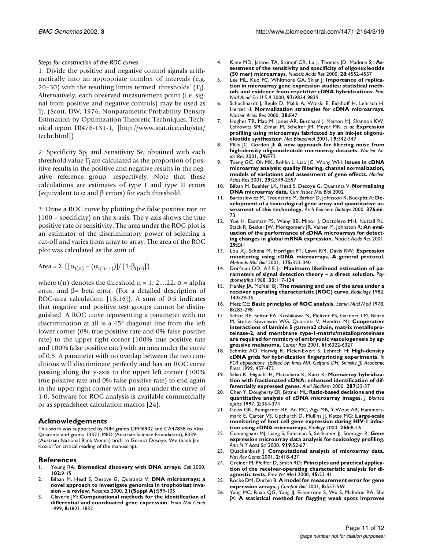#### *Steps for construction of the ROC curves*

1: Divide the positive and negative control signals arithmetically into an appropriate number of intervals (e.g. 20–30) with the resulting limits termed 'thresholds'  $(T_j)$ . Alternatively, each observed measurement point (i.e. sig[nal from positive and negative controls\) may be used as](http://www.stat.rice.edu/stat/techr.html) Tj. (Scott, DW; 1976. Nonparametric Probability Density Estimation by Optimization Theoretic Techniques, Technical report TR476-131-1, [http://www.stat.rice.edu/stat/ techr.html])

2: Specificity Sp<sub>j</sub> and Sensitivity Se<sub>j</sub> obtained with each threshold value T<sub>j</sub> are calculated as the proportion of positive results in the positive and negative results in the negative reference group, respectively. Note that these calculations are estimates of type I and type II errors (equivalent to α and β errors) for each threshold.

3: Draw a ROC curve by plotting the false positive rate or (100 – specificity) on the x-axis. The y-axis shows the true positive rate or sensitivity. The area under the ROC plot is an estimator of the discriminatory power of selecting a cut-off and varies from array to array. The area of the ROC plot was calculated as the sum of

Area = 
$$
\sum \{ [\alpha_{t(n)} - (\alpha_{t(n+1)}) ] / [1-\beta_{t(n)}] \}
$$

where t(n) denotes the threshold n = 1, 2,...22,  $\alpha$  = alpha error, and β= beta error. (For a detailed description of ROC-area calculation: [15,16]). A sum of 0.5 indicates that negative and positive test groups cannot be distinguished. A ROC curve representing a parameter with no discrimination at all is a 45° diagonal line from the left lower corner (0% true positive rate and 0% false positive rate) to the upper right corner (100% true positive rate and 100% false positive rate) with an area under the curve of 0.5. A parameter with no overlap between the two conditions will discriminate perfectly and has an ROC curve passing along the y-axis to the upper left corner (100% true positive rate and 0% false positive rate) to end again in the upper right corner with an area under the curve of 1.0. Software for ROC analysis is available commercially or as spreadsheet calculation macros [24].

## **Acknowledgements**

This work was supported by NIH grants GM46902 and CA47858 to Vito Quaranta and grants 13321-MED (Austrian Science Foundation), 8339 (Austrian National Bank Vienna) both to Gernot Desoye. We thank Jim Koziol for critical reading of the manuscript.

#### **References**

- 1. [Young RA:](http://www.ncbi.nlm.nih.gov/entrez/query.fcgi?cmd=Retrieve&db=PubMed&dopt=Abstract&list_uids=10929708) **[Biomedical discovery with DNA arrays.](http://www.ncbi.nlm.nih.gov/entrez/query.fcgi?cmd=Retrieve&db=PubMed&dopt=Abstract&list_uids=10929708)** *Cell* 2000, **102:**9-15
- 2. [Bilban M, Head S, Desoye G, Quaranta V:](http://www.ncbi.nlm.nih.gov/entrez/query.fcgi?cmd=Retrieve&db=PubMed&dopt=Abstract&list_uids=10831133) **[DNA microarrays: a](http://www.ncbi.nlm.nih.gov/entrez/query.fcgi?cmd=Retrieve&db=PubMed&dopt=Abstract&list_uids=10831133) [novel approach to investigate genomics in trophoblast inva](http://www.ncbi.nlm.nih.gov/entrez/query.fcgi?cmd=Retrieve&db=PubMed&dopt=Abstract&list_uids=10831133)[sion – a review.](http://www.ncbi.nlm.nih.gov/entrez/query.fcgi?cmd=Retrieve&db=PubMed&dopt=Abstract&list_uids=10831133)** *Placenta* 2000, **21(Suppl A):**S99-105
- 3. [Claverie JM:](http://www.ncbi.nlm.nih.gov/entrez/query.fcgi?cmd=Retrieve&db=PubMed&dopt=Abstract&list_uids=10469833) **[Computational methods for the identification of](http://www.ncbi.nlm.nih.gov/entrez/query.fcgi?cmd=Retrieve&db=PubMed&dopt=Abstract&list_uids=10469833) [differential and coordinated gene expression.](http://www.ncbi.nlm.nih.gov/entrez/query.fcgi?cmd=Retrieve&db=PubMed&dopt=Abstract&list_uids=10469833)** *Hum Mol Genet* 1999, **8:**1821-1832
- 4. Kane MD, latkoe TA, Stumpf CR, Lu J, Thomas JD, Madore S|: [As](http://www.ncbi.nlm.nih.gov/entrez/query.fcgi?cmd=Retrieve&db=PubMed&dopt=Abstract&list_uids=11071945)**[sessment of the sensitivity and specificity of oligonucleotide](http://www.ncbi.nlm.nih.gov/entrez/query.fcgi?cmd=Retrieve&db=PubMed&dopt=Abstract&list_uids=11071945) [\(50 mer\) microarrays.](http://www.ncbi.nlm.nih.gov/entrez/query.fcgi?cmd=Retrieve&db=PubMed&dopt=Abstract&list_uids=11071945)** *Nucleic Acids Res* 2000, **28:**4552-4557
- 5. [Lee ML, Kuo FC, Whitmore GA, Sklar J:](http://www.ncbi.nlm.nih.gov/entrez/query.fcgi?cmd=Retrieve&db=PubMed&dopt=Abstract&list_uids=10963655) **[Importance of replica](http://www.ncbi.nlm.nih.gov/entrez/query.fcgi?cmd=Retrieve&db=PubMed&dopt=Abstract&list_uids=27599)[tion in microarray gene expression studies: statistical meth](http://www.ncbi.nlm.nih.gov/entrez/query.fcgi?cmd=Retrieve&db=PubMed&dopt=Abstract&list_uids=27599)[ods and evidence from repetitive cDNA hybridizations.](http://www.ncbi.nlm.nih.gov/entrez/query.fcgi?cmd=Retrieve&db=PubMed&dopt=Abstract&list_uids=27599)** *Proc Natl Acad Sci U S A* 2000, **97:**9834-9839
- 6. [Schuchhardt J, Beule D, Malik A, Wolski E, Eickhoff H, Lehrach H,](http://www.ncbi.nlm.nih.gov/entrez/query.fcgi?cmd=Retrieve&db=PubMed&dopt=Abstract&list_uids=10773095) [Herzel H:](http://www.ncbi.nlm.nih.gov/entrez/query.fcgi?cmd=Retrieve&db=PubMed&dopt=Abstract&list_uids=10773095) **[Normalization strategies for cDNA microarrays.](http://www.ncbi.nlm.nih.gov/entrez/query.fcgi?cmd=Retrieve&db=PubMed&dopt=Abstract&list_uids=10773095)** *Nucleic Acids Res* 2000, **28:**E47
- 7. [Hughes TR, Mao M, Jones AR, Burchard J, Marton MJ, Shannon KW,](http://www.ncbi.nlm.nih.gov/entrez/query.fcgi?cmd=Retrieve&db=PubMed&dopt=Abstract&list_uids=11283592) [Lefkowitz SM, Ziman M, Schelter JM, Meyer MR,](http://www.ncbi.nlm.nih.gov/entrez/query.fcgi?cmd=Retrieve&db=PubMed&dopt=Abstract&list_uids=11283592) *et al*: **[Expression](http://www.ncbi.nlm.nih.gov/entrez/query.fcgi?cmd=Retrieve&db=PubMed&dopt=Abstract&list_uids=11283592) [profiling using microarrays fabricated by an ink-jet oligonu](http://www.ncbi.nlm.nih.gov/entrez/query.fcgi?cmd=Retrieve&db=PubMed&dopt=Abstract&list_uids=11283592)[cleotide synthesizer.](http://www.ncbi.nlm.nih.gov/entrez/query.fcgi?cmd=Retrieve&db=PubMed&dopt=Abstract&list_uids=11283592)** *Nat Biotechnol* 2001, **19:**342-347
- 8. [Mills JC, Gordon JI:](http://www.ncbi.nlm.nih.gov/entrez/query.fcgi?cmd=Retrieve&db=PubMed&dopt=Abstract&list_uids=11470887) **[A new approach for filtering noise from](http://www.ncbi.nlm.nih.gov/entrez/query.fcgi?cmd=Retrieve&db=PubMed&dopt=Abstract&list_uids=55837) [high-density oligonucleotide microarray datasets.](http://www.ncbi.nlm.nih.gov/entrez/query.fcgi?cmd=Retrieve&db=PubMed&dopt=Abstract&list_uids=55837)** *Nucleic Acids Res* 2001, **29:**E72
- 9. [Tseng GC, Oh MK, Rohlin L, Liao JC, Wong WH:](http://www.ncbi.nlm.nih.gov/entrez/query.fcgi?cmd=Retrieve&db=PubMed&dopt=Abstract&list_uids=11410663) **[Issues in cDNA](http://www.ncbi.nlm.nih.gov/entrez/query.fcgi?cmd=Retrieve&db=PubMed&dopt=Abstract&list_uids=55725) [microarray analysis: quality filtering, channel normalization,](http://www.ncbi.nlm.nih.gov/entrez/query.fcgi?cmd=Retrieve&db=PubMed&dopt=Abstract&list_uids=55725) [models of variations and assessment of gene effects.](http://www.ncbi.nlm.nih.gov/entrez/query.fcgi?cmd=Retrieve&db=PubMed&dopt=Abstract&list_uids=55725)** *Nucleic Acids Res* 2001, **29:**2549-2557
- 10. Bilban M, Buehler LK, Head S, Desoye G, Quaranta V: **Normalizing DNA microarray data.** *Curr Issues Mol Biol* 2002
- 11. [Bartosiewicz M, Trounstine M, Barker D, Johnston R, Buckpitt A:](http://www.ncbi.nlm.nih.gov/entrez/query.fcgi?cmd=Retrieve&db=PubMed&dopt=Abstract&list_uids=10729191) **[De](http://www.ncbi.nlm.nih.gov/entrez/query.fcgi?cmd=Retrieve&db=PubMed&dopt=Abstract&list_uids=10.1006/abbi.2000.1700)[velopment of a toxicological gene array and quantitative as](http://www.ncbi.nlm.nih.gov/entrez/query.fcgi?cmd=Retrieve&db=PubMed&dopt=Abstract&list_uids=10.1006/abbi.2000.1700)[sessment of this technology.](http://www.ncbi.nlm.nih.gov/entrez/query.fcgi?cmd=Retrieve&db=PubMed&dopt=Abstract&list_uids=10.1006/abbi.2000.1700)** *Arch Biochem Biophys* 2000, **376:**66- 73
- 12. [Yue H, Eastman PS, Wang BB, Minor J, Doctolero MH, Nuttall RL,](http://www.ncbi.nlm.nih.gov/entrez/query.fcgi?cmd=Retrieve&db=PubMed&dopt=Abstract&list_uids=11292855) [Stack R, Becker JW, Montgomery JR, Vainer M, Johnston R:](http://www.ncbi.nlm.nih.gov/entrez/query.fcgi?cmd=Retrieve&db=PubMed&dopt=Abstract&list_uids=11292855) **[An eval](http://www.ncbi.nlm.nih.gov/entrez/query.fcgi?cmd=Retrieve&db=PubMed&dopt=Abstract&list_uids=31325)[uation of the performance of cDNA microarrays for detect](http://www.ncbi.nlm.nih.gov/entrez/query.fcgi?cmd=Retrieve&db=PubMed&dopt=Abstract&list_uids=31325)[ing changes in global mRNA expression.](http://www.ncbi.nlm.nih.gov/entrez/query.fcgi?cmd=Retrieve&db=PubMed&dopt=Abstract&list_uids=31325)** *Nucleic Acids Res* 2001, **29:**E41
- 13. [Lou XJ, Schena M, Horrigan FT, Lawn RM, Davis RW:](http://www.ncbi.nlm.nih.gov/entrez/query.fcgi?cmd=Retrieve&db=PubMed&dopt=Abstract&list_uids=11462845) **[Expression](http://www.ncbi.nlm.nih.gov/entrez/query.fcgi?cmd=Retrieve&db=PubMed&dopt=Abstract&list_uids=11462845) [monitoring using cDNA microarrays. A general protocol.](http://www.ncbi.nlm.nih.gov/entrez/query.fcgi?cmd=Retrieve&db=PubMed&dopt=Abstract&list_uids=11462845)** *Methods Mol Biol* 2001, **175:**323-340
- 14. [Dorfman DD, Alf E Jr:](http://www.ncbi.nlm.nih.gov/entrez/query.fcgi?cmd=Retrieve&db=PubMed&dopt=Abstract&list_uids=5239566) **[Maximum likelihood estimation of pa](http://www.ncbi.nlm.nih.gov/entrez/query.fcgi?cmd=Retrieve&db=PubMed&dopt=Abstract&list_uids=5239566)[rameters of signal detection theory – a direct solution.](http://www.ncbi.nlm.nih.gov/entrez/query.fcgi?cmd=Retrieve&db=PubMed&dopt=Abstract&list_uids=5239566)** *Psychometrika* 1968, **33:**117-124
- 15. [Hanley JA, McNeil BJ:](http://www.ncbi.nlm.nih.gov/entrez/query.fcgi?cmd=Retrieve&db=PubMed&dopt=Abstract&list_uids=7063747) **[The meaning and use of the area under a](http://www.ncbi.nlm.nih.gov/entrez/query.fcgi?cmd=Retrieve&db=PubMed&dopt=Abstract&list_uids=7063747) [receiver operating characteristic \(ROC\) curve.](http://www.ncbi.nlm.nih.gov/entrez/query.fcgi?cmd=Retrieve&db=PubMed&dopt=Abstract&list_uids=7063747)** *Radiology* 1982, **143:**29-36
- 16. [Metz CE:](http://www.ncbi.nlm.nih.gov/entrez/query.fcgi?cmd=Retrieve&db=PubMed&dopt=Abstract&list_uids=112681) **[Basic principles of ROC analysis.](http://www.ncbi.nlm.nih.gov/entrez/query.fcgi?cmd=Retrieve&db=PubMed&dopt=Abstract&list_uids=112681)** *Semin Nucl Med* 1978, **8:**283-298
- 17. [Seftor RE, Seftor EA, Koshikawa N, Meltzer PS, Gardner LM, Bilban](http://www.ncbi.nlm.nih.gov/entrez/query.fcgi?cmd=Retrieve&db=PubMed&dopt=Abstract&list_uids=11522618) [M, Stetler-Stevenson WG, Quaranta V, Hendrix MJ:](http://www.ncbi.nlm.nih.gov/entrez/query.fcgi?cmd=Retrieve&db=PubMed&dopt=Abstract&list_uids=11522618) **[Cooperative](http://www.ncbi.nlm.nih.gov/entrez/query.fcgi?cmd=Retrieve&db=PubMed&dopt=Abstract&list_uids=11522618) [interactions of laminin 5 gamma2 chain, matrix metallopro](http://www.ncbi.nlm.nih.gov/entrez/query.fcgi?cmd=Retrieve&db=PubMed&dopt=Abstract&list_uids=11522618)teinase-2, and membrane type-1-matrix/metalloproteinase are required for mimicry of embryonic vasculogenesis by ag[gressive melanoma.](http://www.ncbi.nlm.nih.gov/entrez/query.fcgi?cmd=Retrieve&db=PubMed&dopt=Abstract&list_uids=11522618)** *Cancer Res* 2001, **61:**6322-6327
- 18. Schmitt AO, Herwig R, Meier-Ewert S, Lehrach H: **High-density cDNA grids for hybridization fingerprinting experiments.** *In PCR applications (Edited by: Innis MA, Gelfand DH, Sninsky JJ) Academic Press* 1999, 457-472
- 19. [Sakai K, Higuchi H, Matsubara K, Kato K:](http://www.ncbi.nlm.nih.gov/entrez/query.fcgi?cmd=Retrieve&db=PubMed&dopt=Abstract&list_uids=11078580) **[Microarray hybridiza](http://www.ncbi.nlm.nih.gov/entrez/query.fcgi?cmd=Retrieve&db=PubMed&dopt=Abstract&list_uids=10.1006/abio.2000.4831)[tion with fractionated cDNA: enhanced identification of dif](http://www.ncbi.nlm.nih.gov/entrez/query.fcgi?cmd=Retrieve&db=PubMed&dopt=Abstract&list_uids=10.1006/abio.2000.4831)[ferentially expressed genes.](http://www.ncbi.nlm.nih.gov/entrez/query.fcgi?cmd=Retrieve&db=PubMed&dopt=Abstract&list_uids=10.1006/abio.2000.4831)** *Anal Biochem* 2000, **287:**32-37
- 20. Chen Y, Dougherty ER, Bittner ML: **Ratio-based decisions and the quantitative analysis of cDNA microarray images.** *J. Biomed optics* 1997, **2:**364-374
- 21. [Geiss GK, Bumgarner RE, An MC, Agy MB, 't Wout AB, Hammers](http://www.ncbi.nlm.nih.gov/entrez/query.fcgi?cmd=Retrieve&db=PubMed&dopt=Abstract&list_uids=10612655)[mark E, Carter VS, Upchurch D, Mullins JI, Katze MG:](http://www.ncbi.nlm.nih.gov/entrez/query.fcgi?cmd=Retrieve&db=PubMed&dopt=Abstract&list_uids=10612655) **[Large-scale](http://www.ncbi.nlm.nih.gov/entrez/query.fcgi?cmd=Retrieve&db=PubMed&dopt=Abstract&list_uids=10.1006/viro.1999.0044) [monitoring of host cell gene expression during HIV-1 infec](http://www.ncbi.nlm.nih.gov/entrez/query.fcgi?cmd=Retrieve&db=PubMed&dopt=Abstract&list_uids=10.1006/viro.1999.0044)[tion using cDNA microarrays.](http://www.ncbi.nlm.nih.gov/entrez/query.fcgi?cmd=Retrieve&db=PubMed&dopt=Abstract&list_uids=10.1006/viro.1999.0044)** *Virology* 2000, **266:**8-16
- 22. [Cunningham MJ, Liang S, Fuhrman S, Seilhamer JJ, Somogyi R:](http://www.ncbi.nlm.nih.gov/entrez/query.fcgi?cmd=Retrieve&db=PubMed&dopt=Abstract&list_uids=11083097) **[Gene](http://www.ncbi.nlm.nih.gov/entrez/query.fcgi?cmd=Retrieve&db=PubMed&dopt=Abstract&list_uids=11083097) [expression microarray data analysis for toxicology profiling.](http://www.ncbi.nlm.nih.gov/entrez/query.fcgi?cmd=Retrieve&db=PubMed&dopt=Abstract&list_uids=11083097)** *Ann N Y Acad Sci* 2000, **919:**52-67
- 23. [Quackenbush J:](http://www.ncbi.nlm.nih.gov/entrez/query.fcgi?cmd=Retrieve&db=PubMed&dopt=Abstract&list_uids=11389458) **[Computational analysis of microarray data.](http://www.ncbi.nlm.nih.gov/entrez/query.fcgi?cmd=Retrieve&db=PubMed&dopt=Abstract&list_uids=10.1038/35076576)** *Nat Rev Genet* 2001, **2:**418-427
- 24. [Greiner M, Pfeiffer D, Smith RD:](http://www.ncbi.nlm.nih.gov/entrez/query.fcgi?cmd=Retrieve&db=PubMed&dopt=Abstract&list_uids=10802332) **[Principles and practical applica](http://www.ncbi.nlm.nih.gov/entrez/query.fcgi?cmd=Retrieve&db=PubMed&dopt=Abstract&list_uids=10802332)[tion of the receiver-operating characteristic analysis for di](http://www.ncbi.nlm.nih.gov/entrez/query.fcgi?cmd=Retrieve&db=PubMed&dopt=Abstract&list_uids=10802332)[agnostic tests.](http://www.ncbi.nlm.nih.gov/entrez/query.fcgi?cmd=Retrieve&db=PubMed&dopt=Abstract&list_uids=10802332)** *Prev Vet Med* 2000, **45:**23-41
- 25. [Rocke DM, Durbin B:](http://www.ncbi.nlm.nih.gov/entrez/query.fcgi?cmd=Retrieve&db=PubMed&dopt=Abstract&list_uids=11747612) **[A model for measurement error for gene](http://www.ncbi.nlm.nih.gov/entrez/query.fcgi?cmd=Retrieve&db=PubMed&dopt=Abstract&list_uids=10.1089/106652701753307485) [expression arrays.](http://www.ncbi.nlm.nih.gov/entrez/query.fcgi?cmd=Retrieve&db=PubMed&dopt=Abstract&list_uids=10.1089/106652701753307485)** *J Comput Biol* 2001, **8:**557-569
- 26. [Yang MC, Ruan QG, Yang JJ, Eckenrode S, Wu S, McIndoe RA, She](http://www.ncbi.nlm.nih.gov/entrez/query.fcgi?cmd=Retrieve&db=PubMed&dopt=Abstract&list_uids=11595791) [JX:](http://www.ncbi.nlm.nih.gov/entrez/query.fcgi?cmd=Retrieve&db=PubMed&dopt=Abstract&list_uids=11595791) **[A statistical method for flagging weak spots improves](http://www.ncbi.nlm.nih.gov/entrez/query.fcgi?cmd=Retrieve&db=PubMed&dopt=Abstract&list_uids=11595791)**